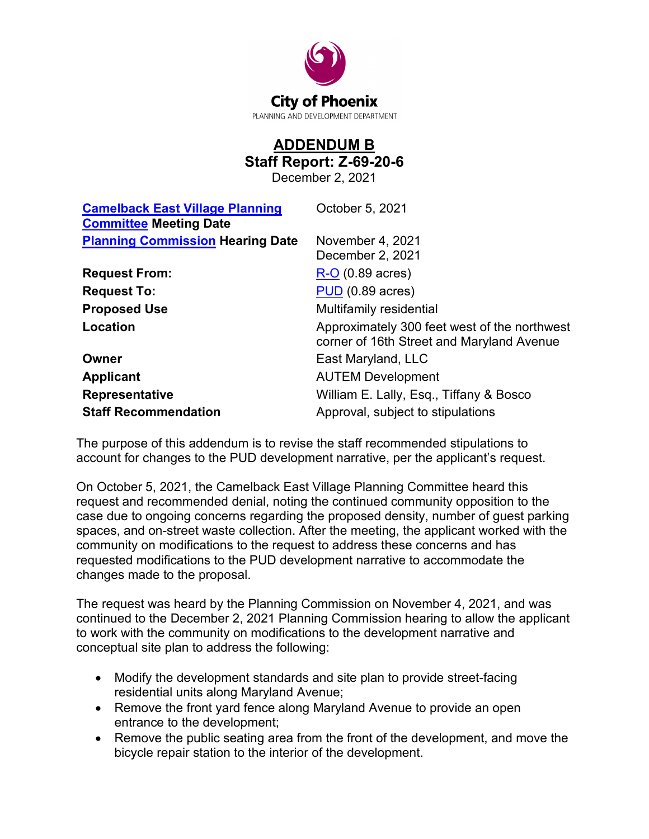

## **ADDENDUM B Staff Report: Z-69-20-6**

December 2, 2021

| <b>Camelback East Village Planning</b><br><b>Committee Meeting Date</b> | October 5, 2021                                                                           |
|-------------------------------------------------------------------------|-------------------------------------------------------------------------------------------|
| <b>Planning Commission Hearing Date</b>                                 | November 4, 2021<br>December 2, 2021                                                      |
| <b>Request From:</b>                                                    | $R-O$ (0.89 acres)                                                                        |
| <b>Request To:</b>                                                      | $PUD$ (0.89 acres)                                                                        |
| <b>Proposed Use</b>                                                     | Multifamily residential                                                                   |
| Location                                                                | Approximately 300 feet west of the northwest<br>corner of 16th Street and Maryland Avenue |
| Owner                                                                   | East Maryland, LLC                                                                        |
| <b>Applicant</b>                                                        | <b>AUTEM Development</b>                                                                  |
| <b>Representative</b>                                                   | William E. Lally, Esq., Tiffany & Bosco                                                   |
| <b>Staff Recommendation</b>                                             | Approval, subject to stipulations                                                         |

The purpose of this addendum is to revise the staff recommended stipulations to account for changes to the PUD development narrative, per the applicant's request.

On October 5, 2021, the Camelback East Village Planning Committee heard this request and recommended denial, noting the continued community opposition to the case due to ongoing concerns regarding the proposed density, number of guest parking spaces, and on-street waste collection. After the meeting, the applicant worked with the community on modifications to the request to address these concerns and has requested modifications to the PUD development narrative to accommodate the changes made to the proposal.

The request was heard by the Planning Commission on November 4, 2021, and was continued to the December 2, 2021 Planning Commission hearing to allow the applicant to work with the community on modifications to the development narrative and conceptual site plan to address the following:

- Modify the development standards and site plan to provide street-facing residential units along Maryland Avenue;
- Remove the front yard fence along Maryland Avenue to provide an open entrance to the development;
- Remove the public seating area from the front of the development, and move the bicycle repair station to the interior of the development.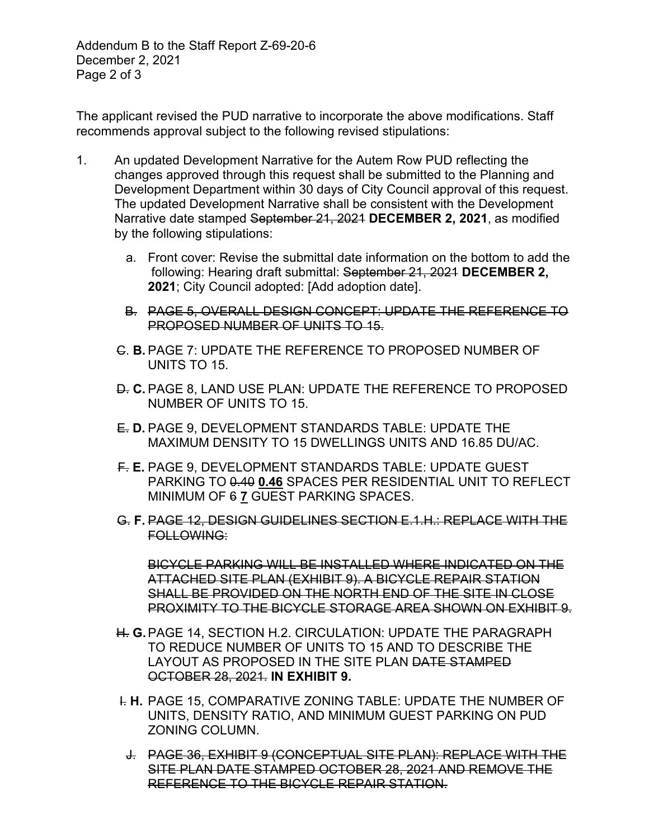Addendum B to the Staff Report Z-69-20-6 December 2, 2021 Page 2 of 3

The applicant revised the PUD narrative to incorporate the above modifications. Staff recommends approval subject to the following revised stipulations:

- 1. An updated Development Narrative for the Autem Row PUD reflecting the changes approved through this request shall be submitted to the Planning and Development Department within 30 days of City Council approval of this request. The updated Development Narrative shall be consistent with the Development Narrative date stamped September 21, 2021 **DECEMBER 2, 2021**, as modified by the following stipulations:
	- a. Front cover: Revise the submittal date information on the bottom to add the following: Hearing draft submittal: September 21, 2021 **DECEMBER 2, 2021**; City Council adopted: [Add adoption date].
	- B. PAGE 5, OVERALL DESIGN CONCEPT: UPDATE THE REFERENCE TO PROPOSED NUMBER OF UNITS TO 15.
	- C. **B.** PAGE 7: UPDATE THE REFERENCE TO PROPOSED NUMBER OF UNITS TO 15.
	- D. **C.** PAGE 8, LAND USE PLAN: UPDATE THE REFERENCE TO PROPOSED NUMBER OF UNITS TO 15.
	- E. **D.** PAGE 9, DEVELOPMENT STANDARDS TABLE: UPDATE THE MAXIMUM DENSITY TO 15 DWELLINGS UNITS AND 16.85 DU/AC.
	- F. **E.** PAGE 9, DEVELOPMENT STANDARDS TABLE: UPDATE GUEST PARKING TO 0.40 **0.46** SPACES PER RESIDENTIAL UNIT TO REFLECT MINIMUM OF 6 **7** GUEST PARKING SPACES.
	- G. **F.** PAGE 12, DESIGN GUIDELINES SECTION E.1.H.: REPLACE WITH THE FOLLOWING:

BICYCLE PARKING WILL BE INSTALLED WHERE INDICATED ON THE ATTACHED SITE PLAN (EXHIBIT 9). A BICYCLE REPAIR STATION SHALL BE PROVIDED ON THE NORTH END OF THE SITE IN CLOSE PROXIMITY TO THE BICYCLE STORAGE AREA SHOWN ON EXHIBIT 9.

- H. **G.**PAGE 14, SECTION H.2. CIRCULATION: UPDATE THE PARAGRAPH TO REDUCE NUMBER OF UNITS TO 15 AND TO DESCRIBE THE LAYOUT AS PROPOSED IN THE SITE PLAN DATE STAMPED OCTOBER 28, 2021. **IN EXHIBIT 9.**
- I. **H.** PAGE 15, COMPARATIVE ZONING TABLE: UPDATE THE NUMBER OF UNITS, DENSITY RATIO, AND MINIMUM GUEST PARKING ON PUD ZONING COLUMN.
	- J. PAGE 36, EXHIBIT 9 (CONCEPTUAL SITE PLAN): REPLACE WITH THE SITE PLAN DATE STAMPED OCTOBER 28, 2021 AND REMOVE THE REFERENCE TO THE BICYCLE REPAIR STATION.